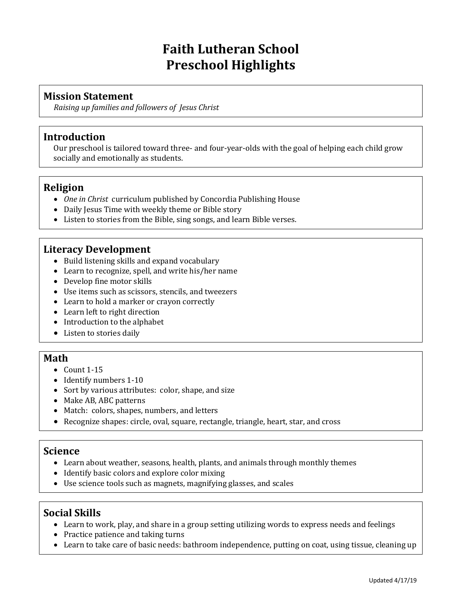## **Faith Lutheran School Preschool Highlights**

### **Mission Statement**

*Raising up families and followers of Jesus Christ*

#### **Introduction**

Our preschool is tailored toward three- and four-year-olds with the goal of helping each child grow socially and emotionally as students.

#### **Religion**

- *One in Christ* curriculum published by Concordia Publishing House
- Daily Jesus Time with weekly theme or Bible story
- Listen to stories from the Bible, sing songs, and learn Bible verses.

#### **Literacy Development**

- Build listening skills and expand vocabulary
- Learn to recognize, spell, and write his/her name
- Develop fine motor skills
- Use items such as scissors, stencils, and tweezers
- Learn to hold a marker or crayon correctly
- Learn left to right direction
- Introduction to the alphabet
- Listen to stories daily

#### **Math**

- $\bullet$  Count 1-15
- Identify numbers 1-10
- Sort by various attributes: color, shape, and size
- Make AB, ABC patterns
- Match: colors, shapes, numbers, and letters
- Recognize shapes: circle, oval, square, rectangle, triangle, heart, star, and cross

#### **Science**

- Learn about weather, seasons, health, plants, and animals through monthly themes
- Identify basic colors and explore color mixing
- Use science tools such as magnets, magnifying glasses, and scales

### **Social Skills**

- Learn to work, play, and share in a group setting utilizing words to express needs and feelings
- Practice patience and taking turns
- Learn to take care of basic needs: bathroom independence, putting on coat, using tissue, cleaning up